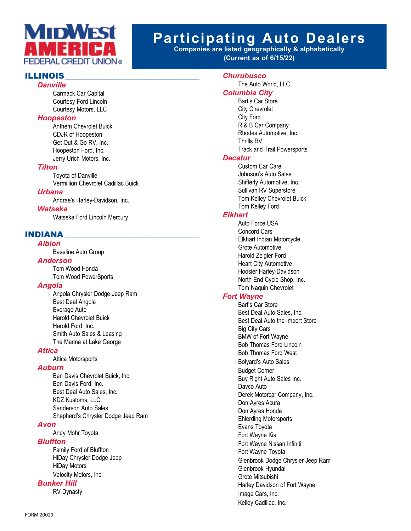

# **Participating Auto Dealers**

**Companies are listed geographically & alphabetically (Current as of 6/15/22)**

# **ILLINOIS**

#### *Danville*

 Carmack Car Capital Courtesy Ford Lincoln Courtesy Motors, LLC

#### *Hoopeston*

 Anthem Chevrolet Buick CDJR of Hoopeston Get Out & Go RV, Inc. Hoopeston Ford, Inc. Jerry Urich Motors, Inc.

#### *Tilton*

 Toyota of Danville Vermillion Chevrolet Cadillac Buick

# *Urbana*

Andrae's Harley-Davidson, Inc.

#### *Watseka*

Watseka Ford Lincoln Mercury

# INDIANA \_\_\_\_\_\_\_\_\_\_\_\_\_\_\_\_\_\_\_\_\_\_\_\_\_\_\_\_\_\_\_\_\_\_\_\_\_\_\_\_

# *Albion*

Baseline Auto Group

#### *Anderson*

 Tom Wood Honda Tom Wood PowerSports

#### *Angola*

 Angola Chrysler Dodge Jeep Ram Best Deal Angola Everage Auto Harold Chevrolet Buick Harold Ford, Inc. Smith Auto Sales & Leasing The Marina at Lake George

#### *Attica*

Attica Motorsports

#### *Auburn*

 Ben Davis Chevrolet Buick, Inc. Ben Davis Ford, Inc. Best Deal Auto Sales, Inc. KDZ Kustoms, LLC. Sanderson Auto Sales Shepherd's Chrysler Dodge Jeep Ram

#### *Avon*

Andy Mohr Toyota

#### *Bluffton*

 Family Ford of Bluffton HiDay Chrysler Dodge Jeep HiDay Motors Velocity Motors, Inc.

#### *Bunker Hill*

**RV Dynasty** 

# *Churubusco*

 The Auto World, LLC *Columbia City* Bart's Car Store City Chevrolet City Ford R & B Car Company Rhodes Automotive, Inc. Thrills RV Track and Trail Powersports *Decatur* Custom Car Care

 Johnson's Auto Sales Shifferly Automotive, Inc. Sullivan RV Superstore Tom Kelley Chevrolet Buick Tom Kelley Ford

# *Elkhart*

 Auto Force USA Concord Cars Elkhart Indian Motorcycle Grote Automotive Harold Zeigler Ford Heart City Automotive Hoosier Harley-Davidson North End Cycle Shop, Inc. Tom Naquin Chevrolet

# *Fort Wayne*

 Bart's Car Store Best Deal Auto Sales, Inc. Best Deal Auto the Import Store Big City Cars BMW of Fort Wayne Bob Thomas Ford Lincoln Bob Thomas Ford West Bolyard's Auto Sales **Budget Corner**  Buy Right Auto Sales Inc. Davco Auto Derek Motorcar Company, Inc. Don Ayres Acura Don Ayres Honda Ehlerding Motorsports Evans Toyota Fort Wayne Kia Fort Wayne Nissan Infiniti Fort Wayne Toyota Glenbrook Dodge Chrysler Jeep Ram Glenbrook Hyundai Grote Mitsubishi Harley Davidson of Fort Wayne Image Cars, Inc. Kelley Cadillac, Inc.

FORM 20029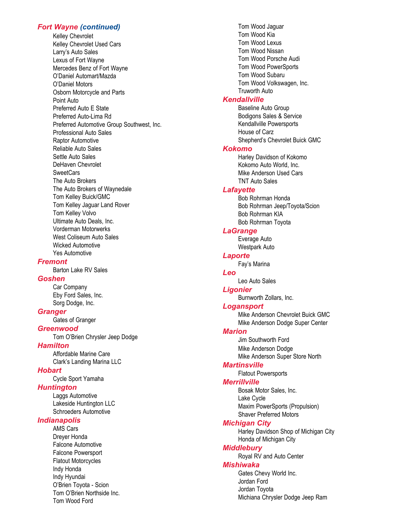#### *Fort Wayne (continued)*

Kelley Chevrolet Kelley Chevrolet Used Cars Larry's Auto Sales Lexus of Fort Wayne Mercedes Benz of Fort Wayne O'Daniel Automart/Mazda O'Daniel Motors Osborn Motorcycle and Parts Point Auto Preferred Auto E State Preferred Auto-Lima Rd Preferred Automotive Group Southwest, Inc. Professional Auto Sales Raptor Automotive Reliable Auto Sales Settle Auto Sales DeHaven Chevrolet SweetCars The Auto Brokers The Auto Brokers of Waynedale Tom Kelley Buick/GMC Tom Kelley Jaguar Land Rover Tom Kelley Volvo Ultimate Auto Deals, Inc. Vorderman Motorwerks West Coliseum Auto Sales Wicked Automotive Yes Automotive *Fremont* Barton Lake RV Sales *Goshen* Car Company Eby Ford Sales, Inc. Sorg Dodge, Inc. *Granger* Gates of Granger *Greenwood* Tom O'Brien Chrysler Jeep Dodge *Hamilton* Affordable Marine Care Clark's Landing Marina LLC *Hobart* Cycle Sport Yamaha *Huntington* Laggs Automotive Lakeside Huntington LLC Schroeders Automotive *Indianapolis* AMS Cars Dreyer Honda Falcone Automotive Falcone Powersport

# Tom Wood Jaguar Tom Wood Kia Tom Wood Lexus Tom Wood Nissan Tom Wood Porsche Audi Tom Wood PowerSports Tom Wood Subaru Tom Wood Volkswagen, Inc. Truworth Auto

#### *Kendallville*

**Baseline Auto Group**  Bodigons Sales & Service Kendallville Powersports House of Carz Shepherd's Chevrolet Buick GMC

#### *Kokomo*

 Harley Davidson of Kokomo Kokomo Auto World, Inc. Mike Anderson Used Cars TNT Auto Sales

#### *Lafayette*

 Bob Rohrman Honda Bob Rohrman Jeep/Toyota/Scion Bob Rohrman KIA Bob Rohrman Toyota

#### *LaGrange*

 Everage Auto Westpark Auto

#### *Laporte*

 Fay's Marina *Leo*

Leo Auto Sales

#### *Ligonier*

Burnworth Zollars, Inc.

#### *Logansport*

 Mike Anderson Chevrolet Buick GMC Mike Anderson Dodge Super Center

# *Marion*

 Jim Southworth Ford Mike Anderson Dodge Mike Anderson Super Store North

# *Martinsville*

 Flatout Powersports *Merrillville*

 Bosak Motor Sales, Inc. Lake Cycle Maxim PowerSports (Propulsion) Shaver Preferred Motors

#### *Michigan City*

 Harley Davidson Shop of Michigan City Honda of Michigan City

#### *Middlebury*

**Royal RV and Auto Center** 

#### *Mishiwaka*

 Gates Chevy World Inc. Jordan Ford Jordan Toyota Michiana Chrysler Dodge Jeep Ram

Tom O'Brien Northside Inc. Tom Wood Ford

 Flatout Motorcycles Indy Honda Indy Hyundai

O'Brien Toyota - Scion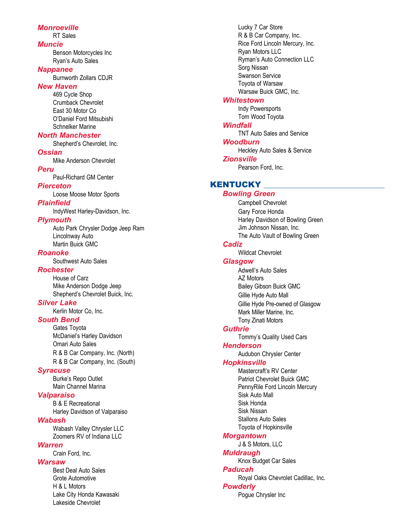#### *Monroeville*

RT Sales

#### *Muncie*

 Benson Motorcycles Inc Ryan's Auto Sales

#### *Nappanee*

**Burnworth Zollars CDJR** 

#### *New Haven*

469 Cycle Shop Crumback Chevrolet East 30 Motor Co O'Daniel Ford Mitsubishi Schnelker Marine

#### *North Manchester*

Shepherd's Chevrolet, Inc.

#### *Ossian*

Mike Anderson Chevrolet

#### *Peru*

Paul-Richard GM Center

# *Pierceton*

Loose Moose Motor Sports

#### *Plainfield*

IndyWest Harley-Davidson, Inc.

#### *Plymouth*

 Auto Park Chrysler Dodge Jeep Ram Lincolnway Auto Martin Buick GMC

#### *Roanoke*

Southwest Auto Sales

#### *Rochester*

 House of Carz Mike Anderson Dodge Jeep Shepherd's Chevrolet Buick, Inc.

#### *Silver Lake*

Kerlin Motor Co, Inc.

# *South Bend*

 Gates Toyota McDaniel's Harley Davidson **Omari Auto Sales**  R & B Car Company, Inc. (North) R & B Car Company, Inc. (South)

#### *Syracuse*

Burke's Repo Outlet Main Channel Marina

#### *Valparaiso*

 B & E Recreational Harley Davidson of Valparaiso

#### *Wabash*

 Wabash Valley Chrysler LLC Zoomers RV of Indiana LLC

#### *Warren*

Crain Ford, Inc.

# *Warsaw*

 Best Deal Auto Sales Grote Automotive H & L Motors Lake City Honda Kawasaki Lakeside Chevrolet

 Lucky 7 Car Store R & B Car Company, Inc. Rice Ford Lincoln Mercury, Inc. Ryan Motors LLC Ryman's Auto Connection LLC Sorg Nissan Swanson Service Toyota of Warsaw Warsaw Buick GMC, Inc.

#### *Whitestown*

 Indy Powersports Tom Wood Toyota

# *Windfall*

 TNT Auto Sales and Service *Woodburn* Heckley Auto Sales & Service *Zionsville* Pearson Ford, Inc.

# **KENTUCKY**

#### *Bowling Green* Campbell Chevrolet **Gary Force Honda**  Harley Davidson of Bowling Green Jim Johnson Nissan, Inc. The Auto Vault of Bowling Green *Cadiz* Wildcat Chevrolet *Glasgow* Adwell's Auto Sales AZ Motors Bailey Gibson Buick GMC Gillie Hyde Auto Mall Gillie Hyde Pre-owned of Glasgow Mark Miller Marine, Inc. Tony Zinati Motors *Guthrie* Tommy's Quality Used Cars *Henderson* Audubon Chrysler Center

#### *Hopkinsville*

 Mastercraft's RV Center Patriot Chevrolet Buick GMC PennyRile Ford Lincoln Mercury Sisk Auto Mall Sisk Honda Sisk Nissan Stallons Auto Sales Toyota of Hopkinsville

#### *Morgantown*

J & S Motors, LLC

#### *Muldraugh*

Knox Budget Car Sales

# *Paducah*

Royal Oaks Chevrolet Cadillac, Inc.

#### *Powderly*

Pogue Chrysler Inc